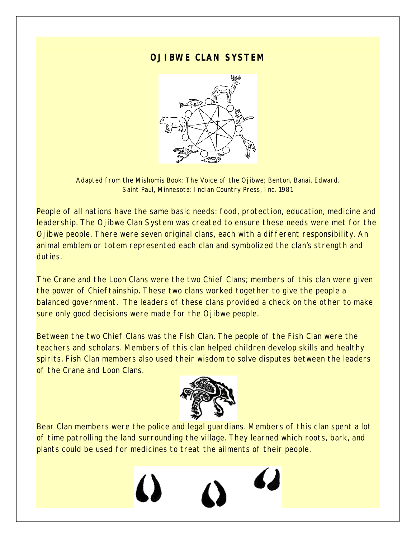## **OJIBWE CLAN SYSTEM**



Adapted from the Mishomis Book: *The Voice of the Ojibwe*; Benton, Banai, Edward. Saint Paul, Minnesota: Indian Country Press, Inc. 1981

People of all nations have the same basic needs: food, protection, education, medicine and leadership. The Ojibwe Clan System was created to ensure these needs were met for the Ojibwe people. There were seven original clans, each with a different responsibility. An animal emblem or totem represented each clan and symbolized the clan's strength and duties.

The Crane and the Loon Clans were the two Chief Clans; members of this clan were given the power of Chieftainship. These two clans worked together to give the people a balanced government. The leaders of these clans provided a check on the other to make sure only good decisions were made for the Ojibwe people.

Between the two Chief Clans was the Fish Clan. The people of the Fish Clan were the teachers and scholars. Members of this clan helped children develop skills and healthy spirits. Fish Clan members also used their wisdom to solve disputes between the leaders of the Crane and Loon Clans.



Bear Clan members were the police and legal guardians. Members of this clan spent a lot of time patrolling the land surrounding the village. They learned which roots, bark, and plants could be used for medicines to treat the ailments of their people.